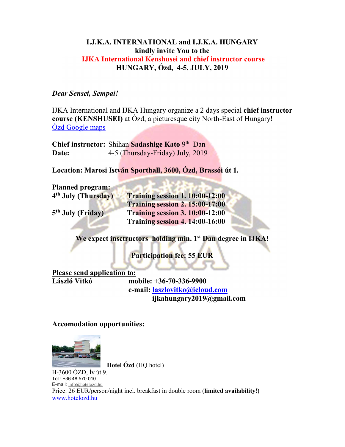## I.J.K.A. INTERNATIONAL and I.J.K.A. HUNGARY kindly invite You to the IJKA International Kenshusei and chief instructor course HUNGARY, Ózd, 4-5, JULY, 2019

## Dear Sensei, Sempai!

IJKA International and IJKA Hungary organize a 2 days special chief instructor course (KENSHUSEI) at Ózd, a picturesque city North-East of Hungary! Ózd Google maps

Chief instructor: Shihan Sadashige Kato 9<sup>th</sup> Dan Date: 4-5 (Thursday-Friday) July, 2019

Location: Marosi István Sporthall, 3600, Ózd, Brassói út 1.

Planned program: 4<sup>th</sup> July (Thursday)

5<sup>th</sup> July (Friday)

Training session 1.  $10:00-12:00$ Training session 2. 15:00-17:00 Training session 3.  $10:00-12:00$ Training session 4. 14:00-16:00

We expect insctructors holding min. 1<sup>st</sup> Dan degree in IJKA!

Participation fee: 55 EUR

Please send application to:

László Vitkó mobile: +36-70-336-9900 e-mail: laszlovitko@icloud.com ijkahungary2019@gmail.com

Accomodation opportunities:



Hotel Ózd (HQ hotel)

H-3600 ÓZD, Ív út 9. Tel.: +36 48 570 010 E-mail: info@hotelozd.hu Price: 26 EUR/person/night incl. breakfast in double room (limited availability!) www.hotelozd.hu